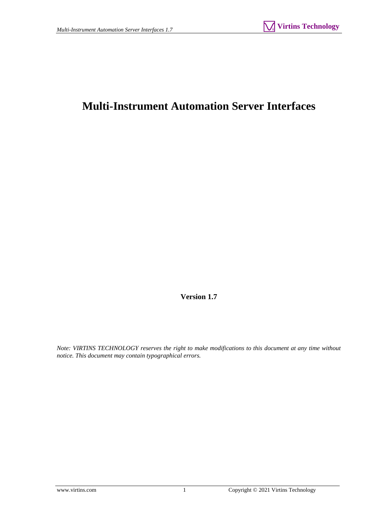# **Multi-Instrument Automation Server Interfaces**

**Version 1.7**

*Note: VIRTINS TECHNOLOGY reserves the right to make modifications to this document at any time without notice. This document may contain typographical errors.*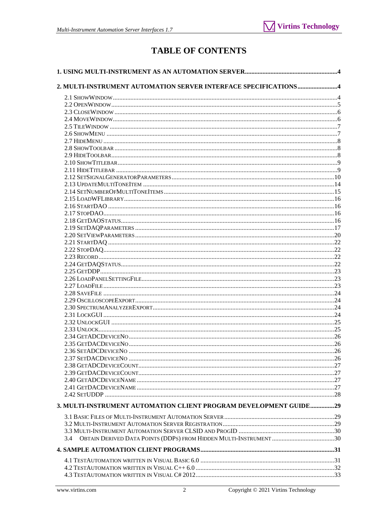## **TABLE OF CONTENTS**

| 2. MULTI-INSTRUMENT AUTOMATION SERVER INTERFACE SPECIFICATIONS4   |  |
|-------------------------------------------------------------------|--|
|                                                                   |  |
|                                                                   |  |
|                                                                   |  |
|                                                                   |  |
|                                                                   |  |
|                                                                   |  |
|                                                                   |  |
|                                                                   |  |
|                                                                   |  |
|                                                                   |  |
|                                                                   |  |
|                                                                   |  |
|                                                                   |  |
|                                                                   |  |
|                                                                   |  |
|                                                                   |  |
|                                                                   |  |
|                                                                   |  |
|                                                                   |  |
|                                                                   |  |
|                                                                   |  |
|                                                                   |  |
|                                                                   |  |
|                                                                   |  |
|                                                                   |  |
|                                                                   |  |
|                                                                   |  |
|                                                                   |  |
|                                                                   |  |
|                                                                   |  |
|                                                                   |  |
|                                                                   |  |
|                                                                   |  |
|                                                                   |  |
|                                                                   |  |
|                                                                   |  |
|                                                                   |  |
|                                                                   |  |
|                                                                   |  |
|                                                                   |  |
|                                                                   |  |
|                                                                   |  |
|                                                                   |  |
| 3. MULTI-INSTRUMENT AUTOMATION CLIENT PROGRAM DEVELOPMENT GUIDE29 |  |
|                                                                   |  |
|                                                                   |  |
|                                                                   |  |
| 3.4                                                               |  |
|                                                                   |  |
|                                                                   |  |
|                                                                   |  |
|                                                                   |  |
|                                                                   |  |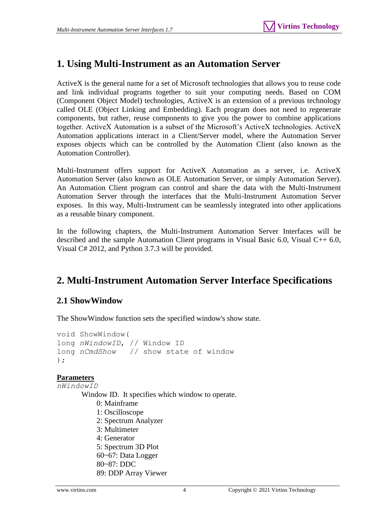## <span id="page-3-0"></span>**1. Using Multi-Instrument as an Automation Server**

ActiveX is the general name for a set of Microsoft technologies that allows you to reuse code and link individual programs together to suit your computing needs. Based on COM (Component Object Model) technologies, ActiveX is an extension of a previous technology called OLE (Object Linking and Embedding). Each program does not need to regenerate components, but rather, reuse components to give you the power to combine applications together. ActiveX Automation is a subset of the Microsoft's ActiveX technologies. ActiveX Automation applications interact in a Client/Server model, where the Automation Server exposes objects which can be controlled by the Automation Client (also known as the Automation Controller).

Multi-Instrument offers support for ActiveX Automation as a server, i.e. ActiveX Automation Server (also known as OLE Automation Server, or simply Automation Server). An Automation Client program can control and share the data with the Multi-Instrument Automation Server through the interfaces that the Multi-Instrument Automation Server exposes. In this way, Multi-Instrument can be seamlessly integrated into other applications as a reusable binary component.

In the following chapters, the Multi-Instrument Automation Server Interfaces will be described and the sample Automation Client programs in Visual Basic 6.0, Visual  $C_{++}$  6.0, Visual C# 2012, and Python 3.7.3 will be provided.

## <span id="page-3-1"></span>**2. Multi-Instrument Automation Server Interface Specifications**

## <span id="page-3-2"></span>**2.1 ShowWindow**

The ShowWindow function sets the specified window's show state.

```
void ShowWindow( 
long nWindowID, // Window ID 
long nCmdShow // show state of window 
);
```
### **Parameters**

```
nWindowID
        Window ID. It specifies which window to operate. 
            0: Mainframe
            1: Oscilloscope
            2: Spectrum Analyzer
            3: Multimeter
            4: Generator
            5: Spectrum 3D Plot
            60~67: Data Logger
            80~87: DDC
            89: DDP Array Viewer
```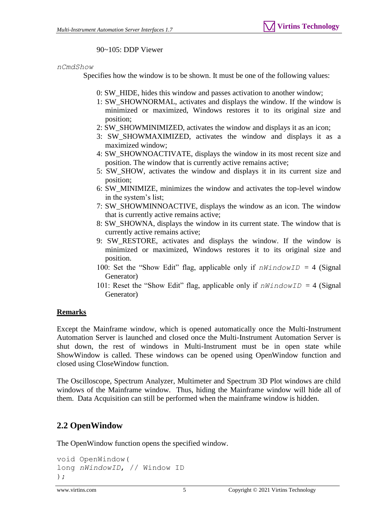90~105: DDP Viewer

#### *nCmdShow*

Specifies how the window is to be shown. It must be one of the following values:

- 0: SW\_HIDE, hides this window and passes activation to another window;
- 1: SW\_SHOWNORMAL, activates and displays the window. If the window is minimized or maximized, Windows restores it to its original size and position;
- 2: SW\_SHOWMINIMIZED, activates the window and displays it as an icon;
- 3: SW\_SHOWMAXIMIZED, activates the window and displays it as a maximized window;
- 4: SW\_SHOWNOACTIVATE, displays the window in its most recent size and position. The window that is currently active remains active;
- 5: SW\_SHOW, activates the window and displays it in its current size and position;
- 6: SW\_MINIMIZE, minimizes the window and activates the top-level window in the system's list;
- 7: SW\_SHOWMINNOACTIVE, displays the window as an icon. The window that is currently active remains active;
- 8: SW\_SHOWNA, displays the window in its current state. The window that is currently active remains active;
- 9: SW\_RESTORE, activates and displays the window. If the window is minimized or maximized, Windows restores it to its original size and position.
- 100: Set the "Show Edit" flag, applicable only if  $nWindowID = 4$  (Signal) Generator)
- 101: Reset the "Show Edit" flag, applicable only if  $nW \text{ in } Q \cup Q \cup Q$  (Signal Generator)

#### **Remarks**

Except the Mainframe window, which is opened automatically once the Multi-Instrument Automation Server is launched and closed once the Multi-Instrument Automation Server is shut down, the rest of windows in Multi-Instrument must be in open state while ShowWindow is called. These windows can be opened using OpenWindow function and closed using CloseWindow function.

The Oscilloscope, Spectrum Analyzer, Multimeter and Spectrum 3D Plot windows are child windows of the Mainframe window. Thus, hiding the Mainframe window will hide all of them. Data Acquisition can still be performed when the mainframe window is hidden.

### <span id="page-4-0"></span>**2.2 OpenWindow**

The OpenWindow function opens the specified window.

```
void OpenWindow( 
long nWindowID, // Window ID 
);
```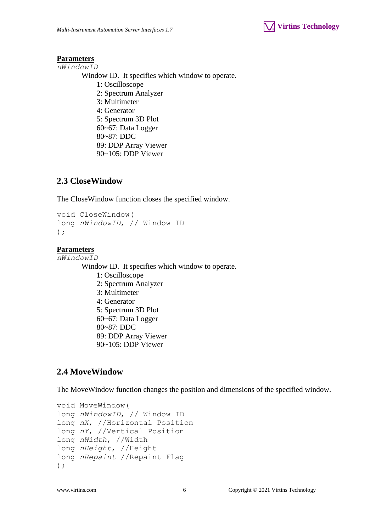### **Parameters**

*nWindowID*

Window ID. It specifies which window to operate.

- 1: Oscilloscope
- 2: Spectrum Analyzer
- 3: Multimeter
- 4: Generator
- 5: Spectrum 3D Plot
- 60~67: Data Logger
- 80~87: DDC
- 89: DDP Array Viewer
- 90~105: DDP Viewer

## <span id="page-5-0"></span>**2.3 CloseWindow**

The CloseWindow function closes the specified window.

```
void CloseWindow( 
long nWindowID, // Window ID 
);
```
### **Parameters**

```
nWindowID
        Window ID. It specifies which window to operate. 
            1: Oscilloscope
            2: Spectrum Analyzer
            3: Multimeter
            4: Generator
            5: Spectrum 3D Plot
            60~67: Data Logger 
            80~87: DDC
             89: DDP Array Viewer
            90~105: DDP Viewer
```
## <span id="page-5-1"></span>**2.4 MoveWindow**

The MoveWindow function changes the position and dimensions of the specified window.

```
void MoveWindow(
long nWindowID, // Window ID
long nX, //Horizontal Position
long nY, //Vertical Position
long nWidth, //Width
long nHeight, //Height
long nRepaint //Repaint Flag
);
```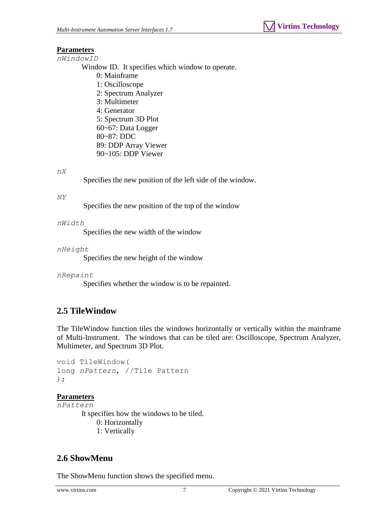### **Parameters**

*nWindowID*

Window ID. It specifies which window to operate.

0: Mainframe 1: Oscilloscope 2: Spectrum Analyzer 3: Multimeter 4: Generator 5: Spectrum 3D Plot 60~67: Data Logger 80~87: DDC 89: DDP Array Viewer 90~105: DDP Viewer

*nX*

Specifies the new position of the left side of the window.

*NY*

Specifies the new position of the top of the window

*nWidth*

Specifies the new width of the window

*nHeight*

Specifies the new height of the window

*nRepaint*

Specifies whether the window is to be repainted.

## <span id="page-6-0"></span>**2.5 TileWindow**

The TileWindow function tiles the windows horizontally or vertically within the mainframe of Multi-Instrument. The windows that can be tiled are: Oscilloscope, Spectrum Analyzer, Multimeter, and Spectrum 3D Plot.

```
void TileWindow( 
long nPattern, //Tile Pattern
);
```
### **Parameters**

*nPattern* It specifies how the windows to be tiled. 0: Horizontally 1: Vertically

## <span id="page-6-1"></span>**2.6 ShowMenu**

The ShowMenu function shows the specified menu.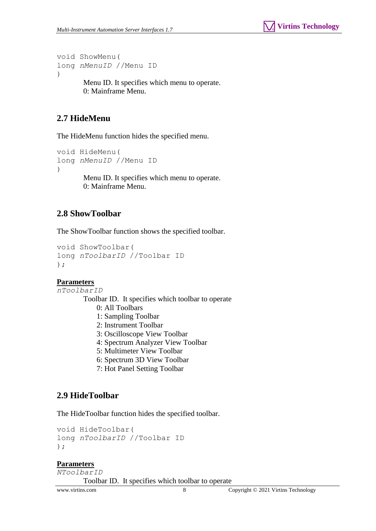void ShowMenu( long *nMenuID* //Menu ID )

> Menu ID. It specifies which menu to operate. 0: Mainframe Menu.

## <span id="page-7-0"></span>**2.7 HideMenu**

The HideMenu function hides the specified menu.

```
void HideMenu(
long nMenuID //Menu ID
)
```
Menu ID. It specifies which menu to operate. 0: Mainframe Menu.

## <span id="page-7-1"></span>**2.8 ShowToolbar**

The ShowToolbar function shows the specified toolbar.

```
void ShowToolbar(
long nToolbarID //Toolbar ID 
);
```
### **Parameters**

```
nToolbarID
        Toolbar ID. It specifies which toolbar to operate
             0: All Toolbars
            1: Sampling Toolbar
            2: Instrument Toolbar
            3: Oscilloscope View Toolbar
            4: Spectrum Analyzer View Toolbar
            5: Multimeter View Toolbar
            6: Spectrum 3D View Toolbar 
            7: Hot Panel Setting Toolbar
```
### <span id="page-7-2"></span>**2.9 HideToolbar**

The HideToolbar function hides the specified toolbar.

```
void HideToolbar(
long nToolbarID //Toolbar ID 
);
```
#### **Parameters**

```
NToolbarID
        Toolbar ID. It specifies which toolbar to operate
```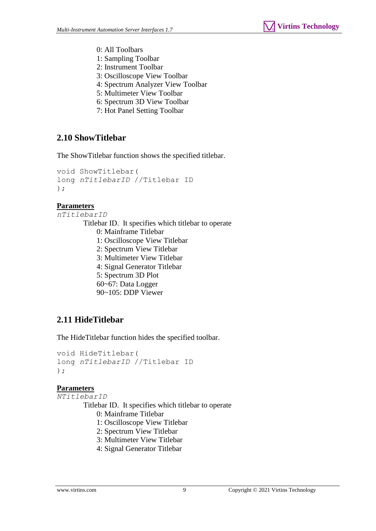- 0: All Toolbars
- 1: Sampling Toolbar
- 2: Instrument Toolbar
- 3: Oscilloscope View Toolbar
- 4: Spectrum Analyzer View Toolbar
- 5: Multimeter View Toolbar
- 6: Spectrum 3D View Toolbar
- 7: Hot Panel Setting Toolbar

### <span id="page-8-0"></span>**2.10 ShowTitlebar**

The ShowTitlebar function shows the specified titlebar.

```
void ShowTitlebar(
long nTitlebarID //Titlebar ID 
);
```
#### **Parameters**

*nTitlebarID* Titlebar ID. It specifies which titlebar to operate 0: Mainframe Titlebar 1: Oscilloscope View Titlebar 2: Spectrum View Titlebar 3: Multimeter View Titlebar 4: Signal Generator Titlebar 5: Spectrum 3D Plot 60~67: Data Logger 90~105: DDP Viewer

### <span id="page-8-1"></span>**2.11 HideTitlebar**

The HideTitlebar function hides the specified toolbar.

```
void HideTitlebar(
long nTitlebarID //Titlebar ID 
);
```
#### **Parameters**

```
NTitlebarID
        Titlebar ID. It specifies which titlebar to operate
```
- 0: Mainframe Titlebar
- 1: Oscilloscope View Titlebar
- 2: Spectrum View Titlebar
- 3: Multimeter View Titlebar
- 4: Signal Generator Titlebar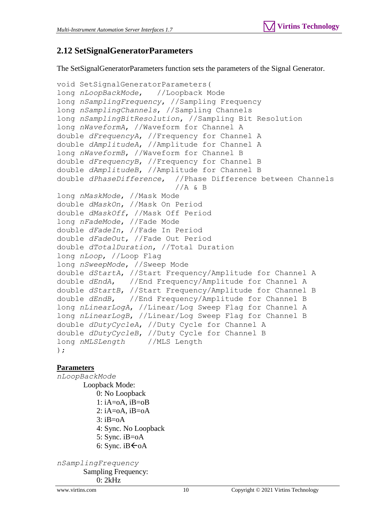## <span id="page-9-0"></span>**2.12 SetSignalGeneratorParameters**

The SetSignalGeneratorParameters function sets the parameters of the Signal Generator.

```
void SetSignalGeneratorParameters(
long nLoopBackMode, //Loopback Mode 
long nSamplingFrequency, //Sampling Frequency
long nSamplingChannels, //Sampling Channels
long nSamplingBitResolution, //Sampling Bit Resolution
long nWaveformA, //Waveform for Channel A
double dFrequencyA, //Frequency for Channel A
double dAmplitudeA, //Amplitude for Channel A
long nWaveformB, //Waveform for Channel B
double dFrequencyB, //Frequency for Channel B
double dAmplitudeB, //Amplitude for Channel B
double dPhaseDifference, //Phase Difference between Channels 
                          //A & Blong nMaskMode, //Mask Mode
double dMaskOn, //Mask On Period
double dMaskOff, //Mask Off Period
long nFadeMode, //Fade Mode
double dFadeIn, //Fade In Period
double dFadeOut, //Fade Out Period
double dTotalDuration, //Total Duration
long nLoop, //Loop Flag
long nSweepMode, //Sweep Mode
double dStartA, //Start Frequency/Amplitude for Channel A
double dEndA, //End Frequency/Amplitude for Channel A
double dStartB, //Start Frequency/Amplitude for Channel B
double dEndB, //End Frequency/Amplitude for Channel B
long nLinearLogA, //Linear/Log Sweep Flag for Channel A
long nLinearLogB, //Linear/Log Sweep Flag for Channel B
double dDutyCycleA, //Duty Cycle for Channel A
double dDutyCycleB, //Duty Cycle for Channel B
long nMLSLength //MLS Length 
);
```
#### **Parameters**

*nLoopBackMode* Loopback Mode: 0: No Loopback 1: iA=oA, iB=oB  $2: iA = oA$ ,  $iB = oA$  $3:$  iB= $0A$ 4: Sync. No Loopback 5: Sync. iB=oA 6: Sync. iB $\leftarrow$ oA

*nSamplingFrequency*

Sampling Frequency: 0: 2kHz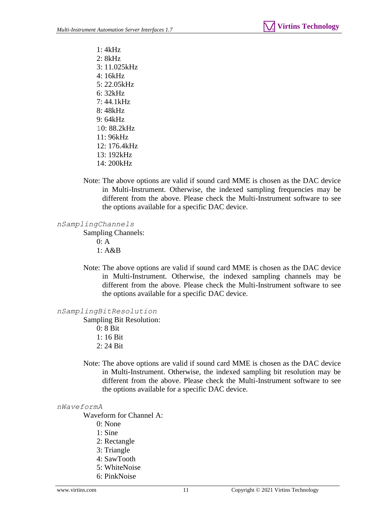1: 4kHz 2: 8kHz 3: 11.025kHz 4: 16kHz 5: 22.05kHz 6: 32kHz 7: 44.1kHz 8: 48kHz 9: 64kHz 10: 88.2kHz 11: 96kHz 12: 176.4kHz 13: 192kHz 14: 200kHz

 Note: The above options are valid if sound card MME is chosen as the DAC device in Multi-Instrument. Otherwise, the indexed sampling frequencies may be different from the above. Please check the Multi-Instrument software to see the options available for a specific DAC device.

#### *nSamplingChannels*

Sampling Channels:  $0: A$ 1: A&B

 Note: The above options are valid if sound card MME is chosen as the DAC device in Multi-Instrument. Otherwise, the indexed sampling channels may be different from the above. Please check the Multi-Instrument software to see the options available for a specific DAC device.

*nSamplingBitResolution*

Sampling Bit Resolution:

- 0: 8 Bit 1: 16 Bit 2: 24 Bit
- Note: The above options are valid if sound card MME is chosen as the DAC device in Multi-Instrument. Otherwise, the indexed sampling bit resolution may be different from the above. Please check the Multi-Instrument software to see the options available for a specific DAC device.

#### *nWaveformA*

Waveform for Channel A:

- 0: None
- 1: Sine
- 2: Rectangle
- 3: Triangle
- 4: SawTooth
- 5: WhiteNoise
- 6: PinkNoise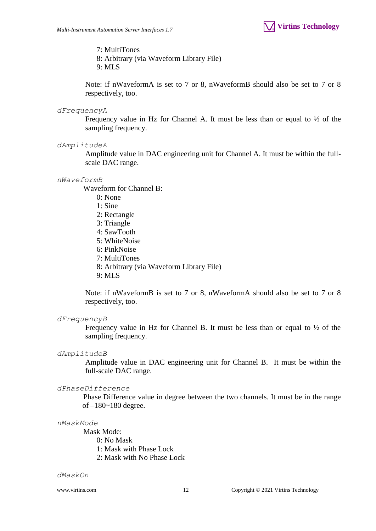#### 7: MultiTones

8: Arbitrary (via Waveform Library File)

9: MLS

 Note: if nWaveformA is set to 7 or 8, nWaveformB should also be set to 7 or 8 respectively, too.

#### *dFrequencyA*

Frequency value in Hz for Channel A. It must be less than or equal to  $\frac{1}{2}$  of the sampling frequency.

#### *dAmplitudeA*

Amplitude value in DAC engineering unit for Channel A. It must be within the fullscale DAC range.

#### *nWaveformB*

Waveform for Channel B:

- 0: None
- 1: Sine
- 2: Rectangle
- 3: Triangle
- 4: SawTooth
- 5: WhiteNoise
- 6: PinkNoise
- 7: MultiTones
- 8: Arbitrary (via Waveform Library File)
- 9: MLS

 Note: if nWaveformB is set to 7 or 8, nWaveformA should also be set to 7 or 8 respectively, too.

#### *dFrequencyB*

Frequency value in Hz for Channel B. It must be less than or equal to  $\frac{1}{2}$  of the sampling frequency.

#### *dAmplitudeB*

Amplitude value in DAC engineering unit for Channel B. It must be within the full-scale DAC range.

#### *dPhaseDifference*

Phase Difference value in degree between the two channels. It must be in the range of –180~180 degree.

#### *nMaskMode*

Mask Mode:

- 0: No Mask
- 1: Mask with Phase Lock
- 2: Mask with No Phase Lock

*dMaskOn*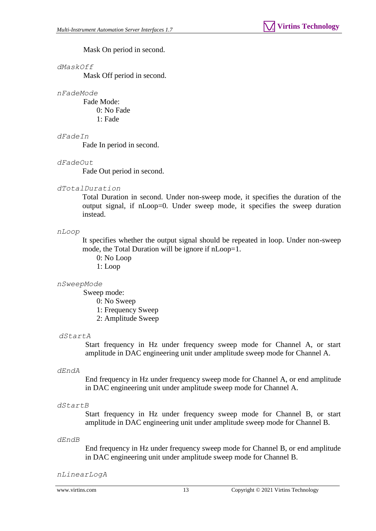Mask On period in second.

#### *dMaskOff*

Mask Off period in second.

```
nFadeMode
```
Fade Mode: 0: No Fade 1: Fade

#### *dFadeIn*

Fade In period in second.

#### *dFadeOut*

Fade Out period in second.

#### *dTotalDuration*

Total Duration in second. Under non-sweep mode, it specifies the duration of the output signal, if nLoop=0. Under sweep mode, it specifies the sweep duration instead.

#### *nLoop*

It specifies whether the output signal should be repeated in loop. Under non-sweep mode, the Total Duration will be ignore if nLoop=1.

- 0: No Loop
- 1: Loop

#### *nSweepMode*

Sweep mode:

0: No Sweep

- 1: Frequency Sweep
- 2: Amplitude Sweep

#### *dStartA*

Start frequency in Hz under frequency sweep mode for Channel A, or start amplitude in DAC engineering unit under amplitude sweep mode for Channel A.

#### *dEndA*

End frequency in Hz under frequency sweep mode for Channel A, or end amplitude in DAC engineering unit under amplitude sweep mode for Channel A.

#### *dStartB*

Start frequency in Hz under frequency sweep mode for Channel B, or start amplitude in DAC engineering unit under amplitude sweep mode for Channel B.

#### *dEndB*

End frequency in Hz under frequency sweep mode for Channel B, or end amplitude in DAC engineering unit under amplitude sweep mode for Channel B.

#### *nLinearLogA*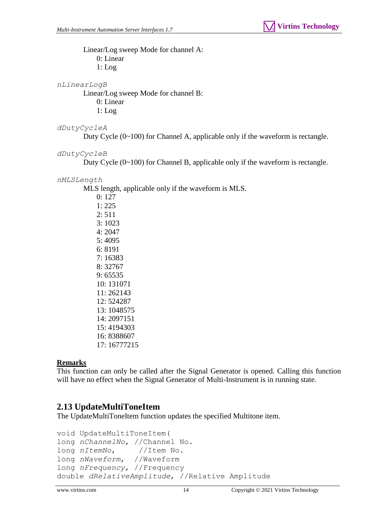Linear/Log sweep Mode for channel A: 0: Linear 1: Log

*nLinearLogB*

Linear/Log sweep Mode for channel B: 0: Linear 1: Log

*dDutyCycleA*

Duty Cycle (0~100) for Channel A, applicable only if the waveform is rectangle.

#### *dDutyCycleB*

Duty Cycle (0~100) for Channel B, applicable only if the waveform is rectangle.

#### *nMLSLength*

MLS length, applicable only if the waveform is MLS.

0: 127 1: 225  $2: 511$ 3: 1023 4: 2047 5: 4095 6: 8191 7: 16383 8: 32767 9: 65535 10: 131071 11: 262143 12: 524287 13: 1048575 14: 2097151 15: 4194303 16: 8388607 17: 16777215

#### **Remarks**

This function can only be called after the Signal Generator is opened. Calling this function will have no effect when the Signal Generator of Multi-Instrument is in running state.

### <span id="page-13-0"></span>**2.13 UpdateMultiToneItem**

The UpdateMultiToneItem function updates the specified Multitone item.

```
void UpdateMultiToneItem(
long nChannelNo, //Channel No.
long nItemNo, //Item No. 
long nWaveform, //Waveform 
long nFrequency, //Frequency
double dRelativeAmplitude, //Relative Amplitude
```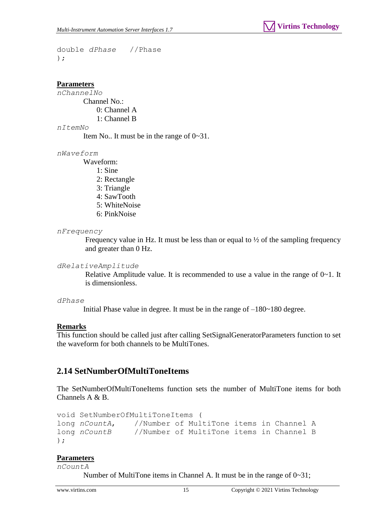double *dPhase* //Phase );

#### **Parameters**

*nChannelNo*

Channel No.: 0: Channel A 1: Channel B

*nItemNo*

Item No.. It must be in the range of 0~31.

*nWaveform*

Waveform:

- 1: Sine
- 2: Rectangle
- 3: Triangle
- 4: SawTooth
- 5: WhiteNoise
- 6: PinkNoise

#### *nFrequency*

Frequency value in Hz. It must be less than or equal to ½ of the sampling frequency and greater than 0 Hz.

### *dRelativeAmplitude*

Relative Amplitude value. It is recommended to use a value in the range of 0~1. It is dimensionless.

#### *dPhase*

Initial Phase value in degree. It must be in the range of  $-180-180$  degree.

#### **Remarks**

This function should be called just after calling SetSignalGeneratorParameters function to set the waveform for both channels to be MultiTones.

### <span id="page-14-0"></span>**2.14 SetNumberOfMultiToneItems**

The SetNumberOfMultiToneItems function sets the number of MultiTone items for both Channels A & B.

```
void SetNumberOfMultiToneItems (
long nCountA, //Number of MultiTone items in Channel A 
long nCountB //Number of MultiTone items in Channel B
);
```
#### **Parameters**

*nCountA*

Number of MultiTone items in Channel A. It must be in the range of 0~31;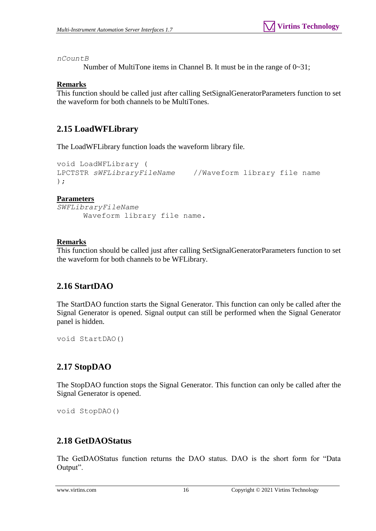*nCountB*

Number of MultiTone items in Channel B. It must be in the range of 0~31;

### **Remarks**

This function should be called just after calling SetSignalGeneratorParameters function to set the waveform for both channels to be MultiTones.

## <span id="page-15-0"></span>**2.15 LoadWFLibrary**

The LoadWFLibrary function loads the waveform library file.

```
void LoadWFLibrary (
LPCTSTR sWFLibraryFileName //Waveform library file name 
);
```
### **Parameters**

```
SWFLibraryFileName
     Waveform library file name.
```
### **Remarks**

This function should be called just after calling SetSignalGeneratorParameters function to set the waveform for both channels to be WFLibrary.

## <span id="page-15-1"></span>**2.16 StartDAO**

The StartDAO function starts the Signal Generator. This function can only be called after the Signal Generator is opened. Signal output can still be performed when the Signal Generator panel is hidden.

```
void StartDAO()
```
## <span id="page-15-2"></span>**2.17 StopDAO**

The StopDAO function stops the Signal Generator. This function can only be called after the Signal Generator is opened.

```
void StopDAO()
```
## <span id="page-15-3"></span>**2.18 GetDAOStatus**

The GetDAOStatus function returns the DAO status. DAO is the short form for "Data Output".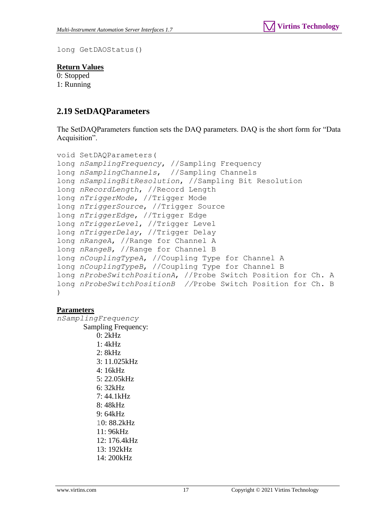long GetDAOStatus()

#### **Return Values**

0: Stopped

1: Running

## <span id="page-16-0"></span>**2.19 SetDAQParameters**

The SetDAQParameters function sets the DAQ parameters. DAQ is the short form for "Data Acquisition".

```
void SetDAQParameters(
long nSamplingFrequency, //Sampling Frequency
long nSamplingChannels, //Sampling Channels
long nSamplingBitResolution, //Sampling Bit Resolution
long nRecordLength, //Record Length
long nTriggerMode, //Trigger Mode
long nTriggerSource, //Trigger Source
long nTriggerEdge, //Trigger Edge
long nTriggerLevel, //Trigger Level
long nTriggerDelay, //Trigger Delay
long nRangeA, //Range for Channel A
long nRangeB, //Range for Channel B
long nCouplingTypeA, //Coupling Type for Channel A
long nCouplingTypeB, //Coupling Type for Channel B
long nProbeSwitchPositionA, //Probe Switch Position for Ch. A
long nProbeSwitchPositionB //Probe Switch Position for Ch. B
)
```
#### **Parameters**

*nSamplingFrequency* Sampling Frequency: 0: 2kHz  $1.4kHz$ 2: 8kHz 3: 11.025kHz  $4.16kHz$ 5: 22.05kHz 6: 32kHz 7: 44.1kHz 8: 48kHz 9: 64kHz 10: 88.2kHz 11: 96kHz 12: 176.4kHz 13: 192kHz 14: 200kHz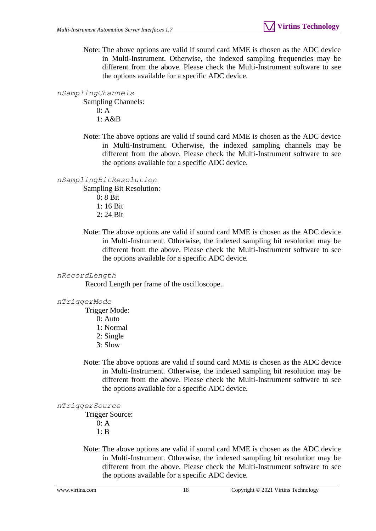Note: The above options are valid if sound card MME is chosen as the ADC device in Multi-Instrument. Otherwise, the indexed sampling frequencies may be different from the above. Please check the Multi-Instrument software to see the options available for a specific ADC device.

#### *nSamplingChannels*

Sampling Channels: 0: A  $1. A\&B$ 

 Note: The above options are valid if sound card MME is chosen as the ADC device in Multi-Instrument. Otherwise, the indexed sampling channels may be different from the above. Please check the Multi-Instrument software to see the options available for a specific ADC device.

#### *nSamplingBitResolution*

Sampling Bit Resolution:

0: 8 Bit 1: 16 Bit  $2: 24$  Bit

Note: The above options are valid if sound card MME is chosen as the ADC device in Multi-Instrument. Otherwise, the indexed sampling bit resolution may be different from the above. Please check the Multi-Instrument software to see the options available for a specific ADC device.

#### *nRecordLength*

Record Length per frame of the oscilloscope.

#### *nTriggerMode*

Trigger Mode:

- 0: Auto
- 1: Normal
- 2: Single
- 3: Slow
- Note: The above options are valid if sound card MME is chosen as the ADC device in Multi-Instrument. Otherwise, the indexed sampling bit resolution may be different from the above. Please check the Multi-Instrument software to see the options available for a specific ADC device.

#### *nTriggerSource*

Trigger Source:

- 0: A
- 1: B
- Note: The above options are valid if sound card MME is chosen as the ADC device in Multi-Instrument. Otherwise, the indexed sampling bit resolution may be different from the above. Please check the Multi-Instrument software to see the options available for a specific ADC device.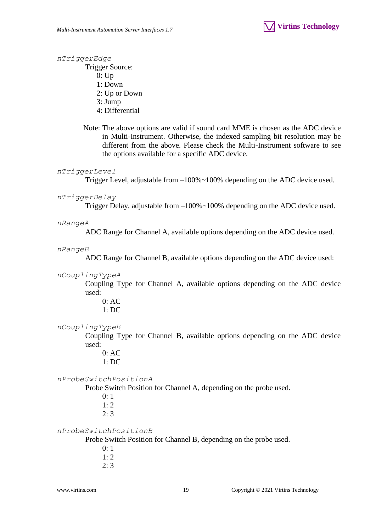#### *nTriggerEdge*

Trigger Source:

- 0: Up
- 1: Down
- 2: Up or Down
- 3: Jump
- 4: Differential
- Note: The above options are valid if sound card MME is chosen as the ADC device in Multi-Instrument. Otherwise, the indexed sampling bit resolution may be different from the above. Please check the Multi-Instrument software to see the options available for a specific ADC device.

#### *nTriggerLevel*

Trigger Level, adjustable from –100%~100% depending on the ADC device used.

#### *nTriggerDelay*

Trigger Delay, adjustable from –100%~100% depending on the ADC device used.

#### *nRangeA*

ADC Range for Channel A, available options depending on the ADC device used.

#### *nRangeB*

ADC Range for Channel B, available options depending on the ADC device used:

#### *nCouplingTypeA*

 Coupling Type for Channel A, available options depending on the ADC device used:

- $0.4C$
- 1: DC

#### *nCouplingTypeB*

 Coupling Type for Channel B, available options depending on the ADC device used:

- 0: AC 1: DC
- 

#### *nProbeSwitchPositionA*

Probe Switch Position for Channel A, depending on the probe used.

- 0: 1 1: 2
- 2: 3

### *nProbeSwitchPositionB*

Probe Switch Position for Channel B, depending on the probe used.

- 0: 1
- 1: 2
- 2: 3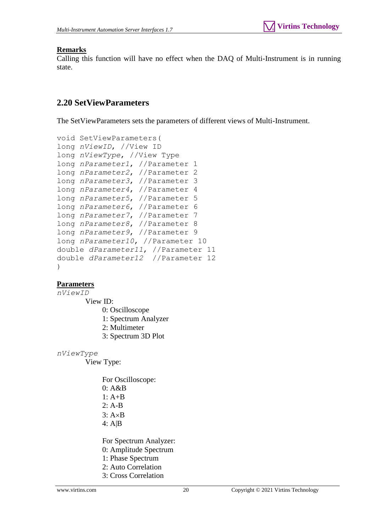### **Remarks**

Calling this function will have no effect when the DAQ of Multi-Instrument is in running state.

### <span id="page-19-0"></span>**2.20 SetViewParameters**

The SetViewParameters sets the parameters of different views of Multi-Instrument.

```
void SetViewParameters(
long nViewID, //View ID
long nViewType, //View Type
long nParameter1, //Parameter 1
long nParameter2, //Parameter 2
long nParameter3, //Parameter 3
long nParameter4, //Parameter 4
long nParameter5, //Parameter 5
long nParameter6, //Parameter 6
long nParameter7, //Parameter 7
long nParameter8, //Parameter 8
long nParameter9, //Parameter 9
long nParameter10, //Parameter 10
double dParameter11, //Parameter 11
double dParameter12 //Parameter 12
)
```
### **Parameters**

*nViewID* View ID: 0: Oscilloscope 1: Spectrum Analyzer

 2: Multimeter 3: Spectrum 3D Plot

*nViewType*

View Type:

 For Oscilloscope: 0: A&B 1: A+B  $2: A-B$  $3: A \times B$ 4: A|B

For Spectrum Analyzer:

- 0: Amplitude Spectrum
- 1: Phase Spectrum
- 2: Auto Correlation
- 3: Cross Correlation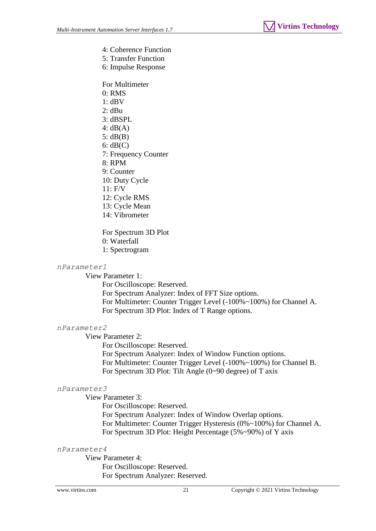- 4: Coherence Function
- 5: Transfer Function
- 6: Impulse Response

 For Multimeter 0: RMS 1: dBV 2: dBu 3: dBSPL  $4:$  dB $(A)$ 5: dB(B) 6: dB(C) 7: Frequency Counter 8: RPM 9: Counter 10: Duty Cycle 11: F/V 12: Cycle RMS 13: Cycle Mean 14: Vibrometer

 For Spectrum 3D Plot 0: Waterfall

1: Spectrogram

#### *nParameter1*

View Parameter 1:

 For Oscilloscope: Reserved. For Spectrum Analyzer: Index of FFT Size options. For Multimeter: Counter Trigger Level (-100%~100%) for Channel A. For Spectrum 3D Plot: Index of T Range options.

#### *nParameter2*

View Parameter 2:

For Oscilloscope: Reserved.

 For Spectrum Analyzer: Index of Window Function options. For Multimeter: Counter Trigger Level (-100%~100%) for Channel B. For Spectrum 3D Plot: Tilt Angle (0~90 degree) of T axis

#### *nParameter3*

View Parameter 3:

 For Oscilloscope: Reserved. For Spectrum Analyzer: Index of Window Overlap options. For Multimeter: Counter Trigger Hysteresis (0%~100%) for Channel A. For Spectrum 3D Plot: Height Percentage (5%~90%) of Y axis

#### *nParameter4*

 View Parameter 4: For Oscilloscope: Reserved. For Spectrum Analyzer: Reserved.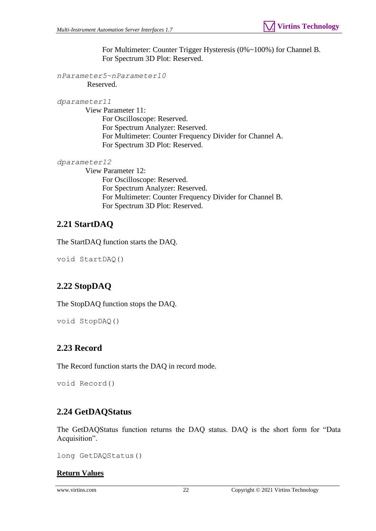For Multimeter: Counter Trigger Hysteresis (0%~100%) for Channel B. For Spectrum 3D Plot: Reserved.

```
nParameter5~nParameter10
        Reserved.
```
*dparameter11*

View Parameter 11:

 For Oscilloscope: Reserved. For Spectrum Analyzer: Reserved. For Multimeter: Counter Frequency Divider for Channel A. For Spectrum 3D Plot: Reserved.

```
dparameter12
```
 View Parameter 12: For Oscilloscope: Reserved. For Spectrum Analyzer: Reserved. For Multimeter: Counter Frequency Divider for Channel B. For Spectrum 3D Plot: Reserved.

## <span id="page-21-0"></span>**2.21 StartDAQ**

The StartDAQ function starts the DAQ.

```
void StartDAQ()
```
## <span id="page-21-1"></span>**2.22 StopDAQ**

The StopDAQ function stops the DAQ.

```
void StopDAQ()
```
### <span id="page-21-2"></span>**2.23 Record**

The Record function starts the DAQ in record mode.

```
void Record()
```
## <span id="page-21-3"></span>**2.24 GetDAQStatus**

The GetDAQStatus function returns the DAQ status. DAQ is the short form for "Data Acquisition".

long GetDAQStatus()

### **Return Values**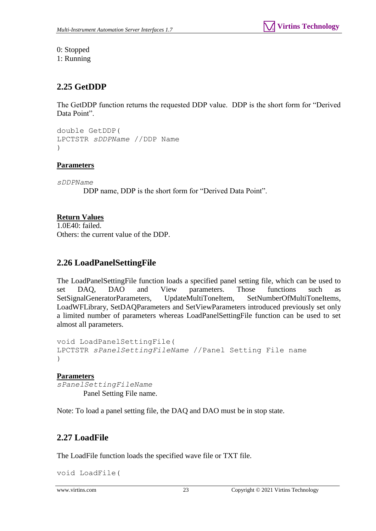0: Stopped

1: Running

## <span id="page-22-0"></span>**2.25 GetDDP**

The GetDDP function returns the requested DDP value. DDP is the short form for "Derived Data Point".

```
double GetDDP(
LPCTSTR sDDPName //DDP Name
)
```
### **Parameters**

*sDDPName*

DDP name, DDP is the short form for "Derived Data Point".

### **Return Values**

1.0E40: failed. Others: the current value of the DDP.

## <span id="page-22-1"></span>**2.26 LoadPanelSettingFile**

The LoadPanelSettingFile function loads a specified panel setting file, which can be used to set DAQ, DAO and View parameters. Those functions such as SetSignalGeneratorParameters, UpdateMultiToneItem, SetNumberOfMultiToneItems, LoadWFLibrary, SetDAQParameters and SetViewParameters introduced previously set only a limited number of parameters whereas LoadPanelSettingFile function can be used to set almost all parameters.

```
void LoadPanelSettingFile(
LPCTSTR sPanelSettingFileName //Panel Setting File name
)
```
### **Parameters**

*sPanelSettingFileName* Panel Setting File name.

Note: To load a panel setting file, the DAQ and DAO must be in stop state.

## <span id="page-22-2"></span>**2.27 LoadFile**

The LoadFile function loads the specified wave file or TXT file.

```
void LoadFile(
```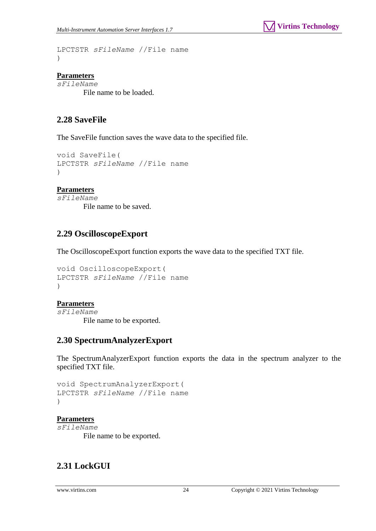```
LPCTSTR sFileName //File name
)
```
### **Parameters**

*sFileName* File name to be loaded.

### <span id="page-23-0"></span>**2.28 SaveFile**

The SaveFile function saves the wave data to the specified file.

```
void SaveFile(
LPCTSTR sFileName //File name
)
```
### **Parameters**

*sFileName* File name to be saved.

### <span id="page-23-1"></span>**2.29 OscilloscopeExport**

The OscilloscopeExport function exports the wave data to the specified TXT file.

```
void OscilloscopeExport(
LPCTSTR sFileName //File name
)
```
### **Parameters**

*sFileName* File name to be exported.

### <span id="page-23-2"></span>**2.30 SpectrumAnalyzerExport**

The SpectrumAnalyzerExport function exports the data in the spectrum analyzer to the specified TXT file.

```
void SpectrumAnalyzerExport(
LPCTSTR sFileName //File name
)
```

```
Parameters
```
*sFileName*

File name to be exported.

## <span id="page-23-3"></span>**2.31 LockGUI**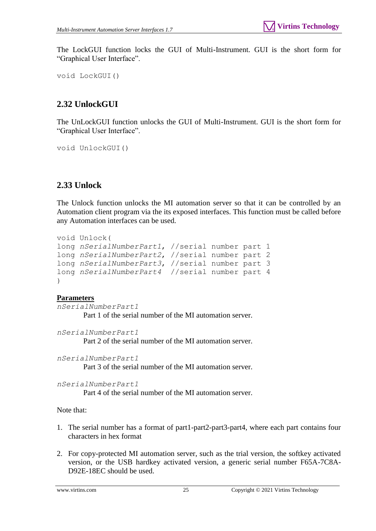The LockGUI function locks the GUI of Multi-Instrument. GUI is the short form for "Graphical User Interface".

void LockGUI()

## <span id="page-24-0"></span>**2.32 UnlockGUI**

The UnLockGUI function unlocks the GUI of Multi-Instrument. GUI is the short form for "Graphical User Interface".

void UnlockGUI()

## <span id="page-24-1"></span>**2.33 Unlock**

The Unlock function unlocks the MI automation server so that it can be controlled by an Automation client program via the its exposed interfaces. This function must be called before any Automation interfaces can be used.

```
void Unlock(
long nSerialNumberPart1, //serial number part 1 
long nSerialNumberPart2, //serial number part 2
long nSerialNumberPart3, //serial number part 3
long nSerialNumberPart4 //serial number part 4
)
```
### **Parameters**

*nSerialNumberPart1* Part 1 of the serial number of the MI automation server.

*nSerialNumberPart1* Part 2 of the serial number of the MI automation server.

*nSerialNumberPart1*

Part 3 of the serial number of the MI automation server.

```
nSerialNumberPart1
```
Part 4 of the serial number of the MI automation server.

Note that:

- 1. The serial number has a format of part1-part2-part3-part4, where each part contains four characters in hex format
- 2. For copy-protected MI automation server, such as the trial version, the softkey activated version, or the USB hardkey activated version, a generic serial number F65A-7C8A-D92E-18EC should be used.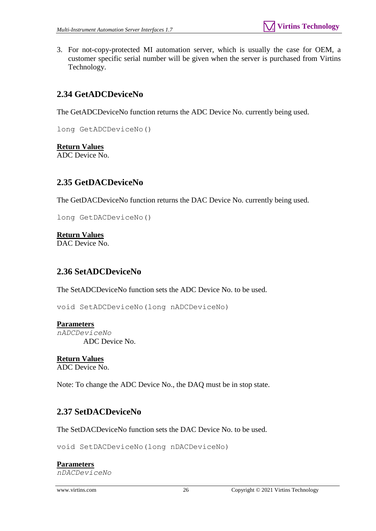3. For not-copy-protected MI automation server, which is usually the case for OEM, a customer specific serial number will be given when the server is purchased from Virtins Technology.

## <span id="page-25-0"></span>**2.34 GetADCDeviceNo**

The GetADCDeviceNo function returns the ADC Device No. currently being used.

long GetADCDeviceNo()

**Return Values** ADC Device No.

## <span id="page-25-1"></span>**2.35 GetDACDeviceNo**

The GetDACDeviceNo function returns the DAC Device No. currently being used.

long GetDACDeviceNo()

**Return Values** DAC Device No.

## <span id="page-25-2"></span>**2.36 SetADCDeviceNo**

The SetADCDeviceNo function sets the ADC Device No. to be used.

void SetADCDeviceNo(long nADCDeviceNo)

**Parameters** *nADCDeviceNo* ADC Device No.

**Return Values** ADC Device No.

Note: To change the ADC Device No., the DAQ must be in stop state.

## <span id="page-25-3"></span>**2.37 SetDACDeviceNo**

The SetDACDeviceNo function sets the DAC Device No. to be used.

void SetDACDeviceNo(long nDACDeviceNo)

**Parameters** *nDACDeviceNo*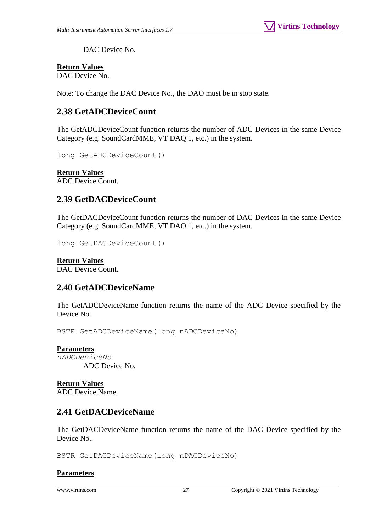DAC Device No.

### **Return Values**

DAC Device No.

Note: To change the DAC Device No., the DAO must be in stop state.

## <span id="page-26-0"></span>**2.38 GetADCDeviceCount**

The GetADCDeviceCount function returns the number of ADC Devices in the same Device Category (e.g. SoundCardMME, VT DAQ 1, etc.) in the system.

long GetADCDeviceCount()

### **Return Values**

ADC Device Count.

## <span id="page-26-1"></span>**2.39 GetDACDeviceCount**

The GetDACDeviceCount function returns the number of DAC Devices in the same Device Category (e.g. SoundCardMME, VT DAO 1, etc.) in the system.

long GetDACDeviceCount()

### **Return Values**

DAC Device Count.

### <span id="page-26-2"></span>**2.40 GetADCDeviceName**

The GetADCDeviceName function returns the name of the ADC Device specified by the Device No..

BSTR GetADCDeviceName(long nADCDeviceNo)

### **Parameters**

*nADCDeviceNo* ADC Device No.

#### **Return Values** ADC Device Name.

### <span id="page-26-3"></span>**2.41 GetDACDeviceName**

The GetDACDeviceName function returns the name of the DAC Device specified by the Device No..

BSTR GetDACDeviceName(long nDACDeviceNo)

### **Parameters**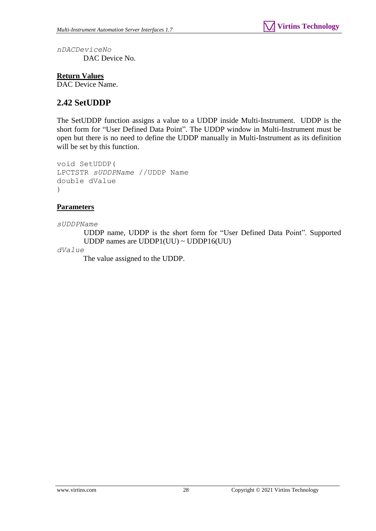*nDACDeviceNo* DAC Device No.

**Return Values** DAC Device Name.

## <span id="page-27-0"></span>**2.42 SetUDDP**

The SetUDDP function assigns a value to a UDDP inside Multi-Instrument. UDDP is the short form for "User Defined Data Point". The UDDP window in Multi-Instrument must be open but there is no need to define the UDDP manually in Multi-Instrument as its definition will be set by this function.

void SetUDDP( LPCTSTR *sUDDPName* //UDDP Name double dValue )

### **Parameters**

*sUDDPName*

UDDP name, UDDP is the short form for "User Defined Data Point". Supported UDDP names are UDDP1(UU) ~ UDDP16(UU)

*dValue*

The value assigned to the UDDP.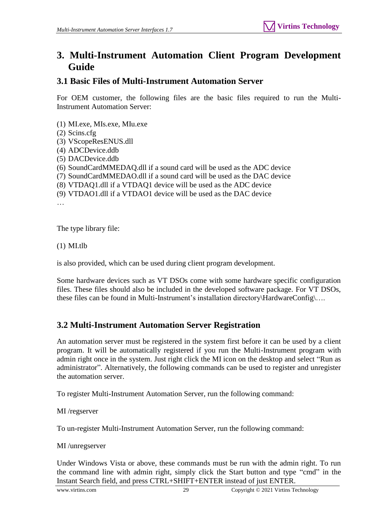## <span id="page-28-0"></span>**3. Multi-Instrument Automation Client Program Development Guide**

## <span id="page-28-1"></span>**3.1 Basic Files of Multi-Instrument Automation Server**

For OEM customer, the following files are the basic files required to run the Multi-Instrument Automation Server:

- (1) MI.exe, MIs.exe, MIu.exe
- (2) Scins.cfg
- (3) VScopeResENUS.dll
- (4) ADCDevice.ddb
- (5) DACDevice.ddb
- (6) SoundCardMMEDAQ.dll if a sound card will be used as the ADC device
- (7) SoundCardMMEDAO.dll if a sound card will be used as the DAC device
- (8) VTDAQ1.dll if a VTDAQ1 device will be used as the ADC device
- (9) VTDAO1.dll if a VTDAO1 device will be used as the DAC device

…

The type library file:

(1) MI.tlb

is also provided, which can be used during client program development.

Some hardware devices such as VT DSOs come with some hardware specific configuration files. These files should also be included in the developed software package. For VT DSOs, these files can be found in Multi-Instrument's installation directory\HardwareConfig\….

## <span id="page-28-2"></span>**3.2 Multi-Instrument Automation Server Registration**

An automation server must be registered in the system first before it can be used by a client program. It will be automatically registered if you run the Multi-Instrument program with admin right once in the system. Just right click the MI icon on the desktop and select "Run as administrator". Alternatively, the following commands can be used to register and unregister the automation server.

To register Multi-Instrument Automation Server, run the following command:

MI /regserver

To un-register Multi-Instrument Automation Server, run the following command:

MI /unregserver

Under Windows Vista or above, these commands must be run with the admin right. To run the command line with admin right, simply click the Start button and type "cmd" in the Instant Search field, and press CTRL+SHIFT+ENTER instead of just ENTER.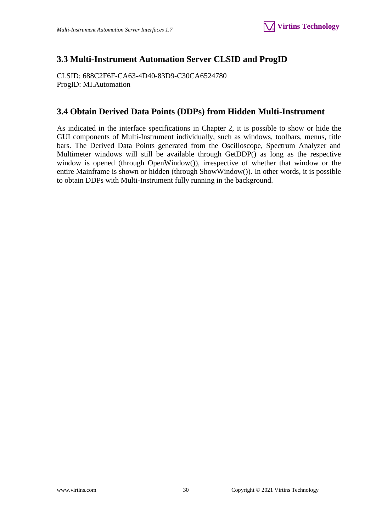## <span id="page-29-0"></span>**3.3 Multi-Instrument Automation Server CLSID and ProgID**

CLSID: 688C2F6F-CA63-4D40-83D9-C30CA6524780 ProgID: MI.Automation

### <span id="page-29-1"></span>**3.4 Obtain Derived Data Points (DDPs) from Hidden Multi-Instrument**

As indicated in the interface specifications in Chapter 2, it is possible to show or hide the GUI components of Multi-Instrument individually, such as windows, toolbars, menus, title bars. The Derived Data Points generated from the Oscilloscope, Spectrum Analyzer and Multimeter windows will still be available through GetDDP() as long as the respective window is opened (through OpenWindow()), irrespective of whether that window or the entire Mainframe is shown or hidden (through ShowWindow()). In other words, it is possible to obtain DDPs with Multi-Instrument fully running in the background.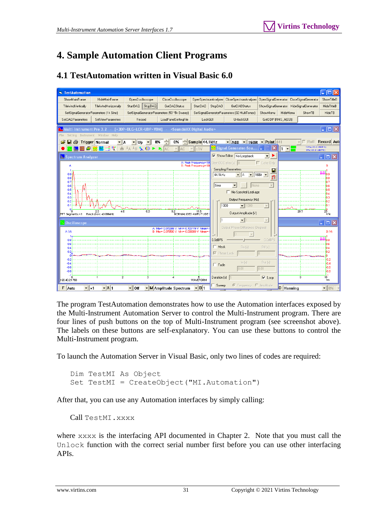## <span id="page-30-0"></span>**4. Sample Automation Client Programs**

#### **TestAutomation**  $\Box$ DI ShowMainFrame **HideMainFrame** OpenOscilloscope CloseOscilloscope OpenSpectrumAnalyzer CloseSpectrumAnalyzer OpenSignalGenerator **CloseSignalGenerator** ShowTitleR TileWndVerticallu TileWndHorizontallu StartDAQ StopDAQ GetDAOStatus StartDAN StopDAN **GalDAOStatus** ShowSignalGenerator HideSignalGenerator HideTitleR SetSignalGeneratorParameters (1k Sine) SetSignalGeneratorParameters (50°5k Sweep) SetSignalGeneratorParameters (32 MultiTones) ShowMenu HideMenu ShowTR **HideTB** LoadPanelSettingFile GetDDP (RMS A(EU)) SetDAOParameters **SetViewParameters** Becord LockGUI **Holock GHI** P+DLG+LCR+UDP+VBM1 indMAY Digital Audio  $\square$   $\times$ **G** 日 *A* Trigger Normal VA&B v16Bit vPoint **F** Roll Record Auto  $\overline{\phantom{a}}$   $\overline{\phantom{a}}$ ignal Generator-Sou... **A BEA 1994** <mark>心</mark>■● 双脚笼® 1●4  $\perp_B \searrow \spadesuit \rightarrow \searrow$  $\frac{1}{2}$  + 1) a 20.0 dBP)<br>G20 9 dBF Show Editor No Loopback  $\overline{\mathbf{r}}$ **In Spectrum Analyze**  $\Box$  $\times$ t OSC after  $(s)$  0 A: Peak Freq<br>B: Peak Freq Sampling Parameters  $\blacksquare$ 44 1kHz  $\boxed{\blacksquare}$ A  $\blacktriangleright$  16Bit  $\blacktriangleright$  $\mathbf{r}$  $0.7$ <br>0.6<br>0.5<br>0.4  $\sqrt{q_{\text{line}}}$  $\boxed{\blacksquare}$   $\boxed{\blacksquare}$  None  $\overline{\mathcal{A}}$ No Spectral Leakage Output Frequency (Hz)  $\sqrt{1000}$  $\frac{1}{1000}$  $\sim$ Output Amplitude (V) 2 11.5<br>MORMALIZED AMPLITUDE i<br>sklad noostus  $\overline{\mathbf{v}}$  $\overline{\phantom{a}}$  $\Box X$ se Difference (Dearee) A: Max= 0.072388 V Min=-0.103119 V<br>B: Max= 0.073590 V Min=-0.099069 V A rv a rvi  $\vert \nabla \vert$ 0.0dBFS n nae 'nя  $\overline{Off(s)}$  $\overline{\Box}$  Mask  $\overline{\mathbf{w}}$  Phase **Out** (s) .n.  $\Box$  Eade ١× ă  $\overline{0.0}$  $\overline{\triangledown}$  Loop Duration (s) F 5<br>WAVEFORM  $\sigma$  as  $\overline{C}$ Sweep  $\overline{\mathbf{F}}$ B<sub>1</sub>  $F$  Auto  $\mathbf{r}$   $\mathbf{x}$ 1  $\overline{-}$  $\overline{A}$  $\overline{1}$  $\mathbf{I}$  off MAmplitude Spectrum D Hanning ╺║

## <span id="page-30-1"></span>**4.1 TestAutomation written in Visual Basic 6.0**

The program TestAutomation demonstrates how to use the Automation interfaces exposed by the Multi-Instrument Automation Server to control the Multi-Instrument program. There are four lines of push buttons on the top of Multi-Instrument program (see screenshot above). The labels on these buttons are self-explanatory. You can use these buttons to control the Multi-Instrument program.

To launch the Automation Server in Visual Basic, only two lines of codes are required:

```
Dim TestMI As Object
Set TestMI = CreateObject("MI.Automation")
```
After that, you can use any Automation interfaces by simply calling:

Call TestMI.xxxx

where xxxx is the interfacing API documented in Chapter 2. Note that you must call the Unlock function with the correct serial number first before you can use other interfacing APIs.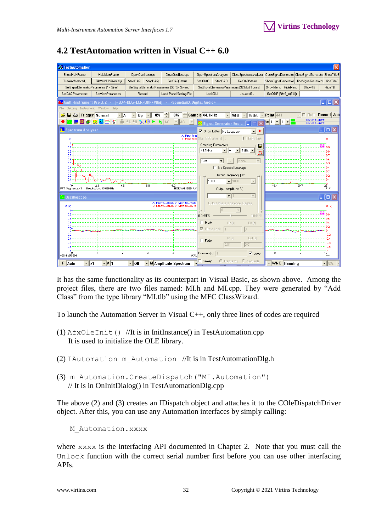|                                     |                                                                                               |                               |                         |                                            |                                  |                                                  |                                                                                       |                                                     |                                  | $\overline{\mathsf{x}}$                             |
|-------------------------------------|-----------------------------------------------------------------------------------------------|-------------------------------|-------------------------|--------------------------------------------|----------------------------------|--------------------------------------------------|---------------------------------------------------------------------------------------|-----------------------------------------------------|----------------------------------|-----------------------------------------------------|
| <b>A</b> TestAutomation             |                                                                                               |                               |                         |                                            |                                  |                                                  |                                                                                       |                                                     |                                  |                                                     |
| ShowMainFrame                       | <b>HideMainFrame</b>                                                                          | OpenOscilloscope              |                         | CloseOscilloscope                          |                                  | OpenSpectrumAnalyzer                             | CloseSpectrumAnalyzer                                                                 | OpenSignalGenerator CloseSignalGenerator ShowTitleB |                                  |                                                     |
| TileWndVertically                   | TileWndHorizontallv                                                                           | StartDAQ                      | StopDAQ                 | GetDAOStatus                               | <b>StartDAO</b>                  | StopDA0                                          | <b>GetDAOStatus</b>                                                                   | ShowSignalGenerator HideSignalGenerator HideTitleB  |                                  |                                                     |
|                                     | SetSignalGeneratorParameters (1k Sine)                                                        |                               |                         | SetSignalGeneratorParameters (50~5k Sweep) |                                  |                                                  | SetSignalGeneratorParameters (32 MultiTones)                                          | ShowMenu HideMenu                                   | ShowTB                           | <b>HideTB</b>                                       |
| SetDAOParameters                    | <b>SetViewParameters</b>                                                                      | Record                        |                         | Load Panel Setting File                    |                                  | LockGUI                                          | UnLockGUI                                                                             | GetDDP (RMS A(EU))                                  |                                  |                                                     |
|                                     | Multi-Instrument Pro 3.2 - [+3DP+DLG+LCR+UDP+VBM] - <soundmax audio="" digital=""></soundmax> |                               |                         |                                            |                                  |                                                  |                                                                                       |                                                     |                                  | $\Box$ $\Box$ $\times$                              |
|                                     | Setting Instrument Window Help                                                                |                               |                         |                                            |                                  |                                                  |                                                                                       |                                                     |                                  |                                                     |
| в<br>ê.                             | $\mathbf{v} \parallel \mathbf{A}$<br><b>Trigger Normal</b>                                    | $\mathbf{v}$ Up $\mathbf{v}$  | 0%                      | ÷l<br>0%                                   | Sample 44.1kHz                   |                                                  | $\blacktriangleright$ A&B $\blacktriangleright$ 16Bit $\blacktriangleright$ Point 441 |                                                     |                                  | Roll Record Auto                                    |
| ◙                                   |                                                                                               |                               | 転                       | <b>AC</b><br>$\overline{\phantom{a}}$ AC   |                                  |                                                  | <b>MI 90</b> Signal Generator-Sou <mark>_</mark><br>$\overline{\mathsf{x}}$           | $ e 1 - 1 1 - 1 $                                   | 8%(-21.9 dBFS)<br>9%(-20.9 dBFS) |                                                     |
| <b>IIII.</b> Spectrum Analyzer      |                                                                                               |                               |                         |                                            |                                  | Show Editor No Loopback                          | $\mathbf{r}$                                                                          |                                                     |                                  | $\overline{\mathbf{L}}$ . $\ \mathbf{L}\ $ $\times$ |
|                                     |                                                                                               |                               |                         | A: Peak Fred                               |                                  |                                                  |                                                                                       |                                                     |                                  |                                                     |
|                                     |                                                                                               |                               |                         |                                            | B: Peak Free Start OSC after [s] |                                                  | F Echo Only                                                                           |                                                     |                                  | в                                                   |
| 0.9                                 |                                                                                               |                               |                         |                                            | 44.1kHz                          | Sampling Parameters<br>$\mathbf{F}$ $\mathbf{A}$ | В<br>$\blacktriangleright$ 16Bit $\blacktriangleright$                                |                                                     |                                  |                                                     |
| 0.8<br>0.7                          |                                                                                               |                               |                         |                                            |                                  |                                                  | $\overline{p}$                                                                        |                                                     |                                  | D.8                                                 |
| 0.6<br>0.5                          |                                                                                               |                               |                         |                                            | Sine                             | $\vert \cdot \vert$                              | None<br>$\overline{\nabla}$                                                           |                                                     |                                  |                                                     |
| 0.4                                 |                                                                                               |                               |                         |                                            |                                  | No Spectral Leakage                              |                                                                                       |                                                     |                                  |                                                     |
| 0.3<br>0.2                          |                                                                                               |                               |                         |                                            |                                  |                                                  | Output Frequency (Hz)                                                                 |                                                     |                                  |                                                     |
| 0.1                                 |                                                                                               |                               |                         |                                            | 1000                             |                                                  | $\bullet$ 1000<br>$\overline{\phantom{m}}$                                            |                                                     |                                  |                                                     |
| 'n<br>FFT Segments:<1               | 2.3<br>4.6<br>Resolution: 43.0664Hz                                                           |                               | 6.9                     | 9.2<br>NORMALIZED AM                       |                                  | Output Amplitude [V]                             |                                                                                       | 18.4                                                | 20.7                             | zš<br>kHz                                           |
| <b>Oscilloscope</b>                 |                                                                                               |                               |                         |                                            | I1                               | $\mathbf{v}$   1                                 | $\overline{\phantom{a}}$                                                              |                                                     |                                  |                                                     |
|                                     |                                                                                               |                               |                         | A: Max= 0.085632 V Min=-0.077332           |                                  |                                                  | <b>Output Phase Difference (Degree)</b>                                               |                                                     |                                  | $\Box$ $\Box$ $\times$                              |
| A <sub>(V)</sub>                    |                                                                                               |                               |                         | B: Max= 0.094086 V Min=-0.069275           |                                  |                                                  |                                                                                       |                                                     |                                  | B <sub>(V)</sub>                                    |
| 0.8                                 |                                                                                               |                               |                         |                                            | 0.0dBFS                          |                                                  | 0.0dBFS                                                                               |                                                     |                                  | $\overline{\mathrm{Mil}}_{0.8}$                     |
| 0.6<br>0.4                          |                                                                                               |                               |                         |                                            | $\Box$ Mask                      |                                                  | 0n(s)<br>Off[s]                                                                       |                                                     |                                  | 1.6                                                 |
| 0.2                                 |                                                                                               |                               |                         |                                            | $\nabla$ Phase Lock              |                                                  | In.                                                                                   |                                                     |                                  | 12                                                  |
| $-0.2$                              |                                                                                               |                               |                         |                                            |                                  |                                                  |                                                                                       |                                                     |                                  | 0.2                                                 |
| $-0.4$<br>$-0.6$                    |                                                                                               |                               |                         |                                            | $\Box$ Fade                      |                                                  | Out [s]<br>$\ln[s]$                                                                   |                                                     |                                  | 0.4<br>0.6                                          |
| $-0.8$                              |                                                                                               |                               |                         |                                            |                                  | 0.01                                             | 0.01                                                                                  |                                                     |                                  | 0.8                                                 |
| $\gamma_0^{\rm L}$<br>+20:41:56:694 | $\overline{2}$<br>$\overline{1}$                                                              |                               | $\overline{\mathbf{3}}$ | $\boldsymbol{4}$<br><b>WAY</b>             | Duration [s]                     |                                                  | $\overline{\triangledown}$ Loop                                                       | $\overline{\mathbf{8}}$                             | $\overline{\mathbf{s}}$          | 10 <sup>1</sup><br>ms                               |
|                                     | $\overline{\mathbf{A}}$ 1                                                                     |                               |                         |                                            | Sweep                            |                                                  | C Frequency C Amplitude                                                               |                                                     |                                  |                                                     |
| F Auto<br>$\mathbf{F}$ $\mathbf{x}$ |                                                                                               | $\overline{\phantom{a}}$ loff |                         | MAmplitude Spectrum                        |                                  |                                                  |                                                                                       | v WND Hanning                                       |                                  | $\bullet$ 0%                                        |

## <span id="page-31-0"></span>**4.2 TestAutomation written in Visual C++ 6.0**

It has the same functionality as its counterpart in Visual Basic, as shown above. Among the project files, there are two files named: MI.h and MI.cpp. They were generated by "Add Class" from the type library "MI.tlb" using the MFC ClassWizard.

To launch the Automation Server in Visual C++, only three lines of codes are required

- (1) AfxOleInit() //It is in InitInstance() in TestAutomation.cpp It is used to initialize the OLE library.
- (2) IAutomation m\_Automation //It is in TestAutomationDlg.h
- (3) m\_Automation.CreateDispatch("MI.Automation") // It is in OnInitDialog() in TestAutomationDlg.cpp

The above (2) and (3) creates an IDispatch object and attaches it to the COleDispatchDriver object. After this, you can use any Automation interfaces by simply calling:

M\_Automation.xxxx

where xxxx is the interfacing API documented in Chapter 2. Note that you must call the Unlock function with the correct serial number first before you can use other interfacing APIs.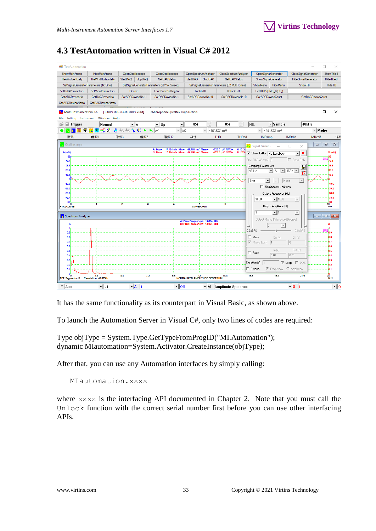## <span id="page-32-0"></span>**4.3 TestAutomation written in Visual C# 2012**

| ■ TestAutomation            |                                          |                                                                                                            |                                                                                                                    |                                                                    |                                              |                                        |                                                             | $\Box$<br>X                                                                                                             |
|-----------------------------|------------------------------------------|------------------------------------------------------------------------------------------------------------|--------------------------------------------------------------------------------------------------------------------|--------------------------------------------------------------------|----------------------------------------------|----------------------------------------|-------------------------------------------------------------|-------------------------------------------------------------------------------------------------------------------------|
| <b>ShowMainFrame</b>        | <b>HideMainFrame</b>                     | OpenOscilloscope                                                                                           | CloseOscilloscope                                                                                                  | OpenSpectrumAnalyzer                                               | Close Spectrum Analyzer                      | OpenSignalGenerator                    | Close SignalGenerator                                       | <b>Show TitleB</b>                                                                                                      |
| <b>TileWndVertically</b>    | TileWndHorizontally                      | StartDAQ StopDAQ                                                                                           | <b>GetDAQStatus</b>                                                                                                | <b>StartDAO</b><br><b>StopDAO</b>                                  | <b>GetDAOStatus</b>                          | Show Signal Generator                  | Hide SignalGenerator                                        | <b>Hide TitleB</b>                                                                                                      |
|                             | SetSignalGeneratorParameters (1k Sine)   |                                                                                                            | SetSignalGeneratorParameters (50~5k Sweep)                                                                         |                                                                    | SetSignalGeneratorParameters (32 MultiTones) | HideMenu<br>ShowMenu                   | <b>ShowTB</b>                                               | <b>HideTB</b>                                                                                                           |
| <b>SetDAQParameters</b>     | Set View Parameters                      | Record                                                                                                     | LoadPanelSettingFile                                                                                               | LockGUI                                                            | UnlockGUI                                    | GetDDP (RMS A(EU))                     |                                                             |                                                                                                                         |
| <b>GetADCDeviceNo</b>       | GetDACDeviceNo                           | SetADCDeviceNo=1                                                                                           | SetDACDeviceNo=1                                                                                                   | SetADCDeviceNo=0                                                   | SetDACDeviceNo=0                             | <b>GetADCDeviceCount</b>               | GetDACDeviceCount                                           |                                                                                                                         |
| <b>GetADCDeviceName</b>     | GetDACDeviceName                         |                                                                                                            |                                                                                                                    |                                                                    |                                              |                                        |                                                             |                                                                                                                         |
| File                        |                                          |                                                                                                            | $\sim$ Multi-Instrument Pro 3.6 - [+3DP+DLG+LCR+UDP+VBM] - <microphone (realtek="" defini="" high=""></microphone> |                                                                    |                                              |                                        |                                                             | $\times$<br>$\Box$                                                                                                      |
| $\Box$ Trigger<br>r         | Setting Instrument Window Help<br>Normal | $\mathbf{H}$                                                                                               | $\mathbf{v}$ Up                                                                                                    | H<br>0%<br>▾║                                                      | H<br>n%                                      | $\overline{\mathcal{F}}$ Sample<br>NIL | $48k$ Hz                                                    |                                                                                                                         |
|                             |                                          | $\Delta$ $\rightarrow$ $\rightarrow$ $\rightarrow$ $\rightarrow$ $\rightarrow$ $\rightarrow$ $\rightarrow$ | $  $ AC                                                                                                            |                                                                    | $\mathbb{Z}$ = 97.531 mV                     | $\vert \cdot \vert$ ±97.531 mV         | - Probe                                                     |                                                                                                                         |
| 野认                          | 倍频1                                      | 倍频3<br>倍频6                                                                                                 | 倍频12                                                                                                               | 极性                                                                 | <b>THD</b><br><b>THDcd</b>                   | <b>IMDsmp</b>                          | <b>IMDdin</b><br><b>IMDccif</b>                             | 幅频                                                                                                                      |
|                             |                                          |                                                                                                            |                                                                                                                    |                                                                    |                                              |                                        |                                                             | $\overline{\Sigma}$                                                                                                     |
| Oscilloscope                |                                          |                                                                                                            | A: Max=                                                                                                            |                                                                    | 8.1513                                       | Signal Gener                           | $\qquad \qquad \Box$<br>$\times$<br>$\Box$                  | $\Box$                                                                                                                  |
| A (mV)                      |                                          |                                                                                                            | <b>B</b> : Max=                                                                                                    | 17.424 mV Min= -17.769 mV Mean=<br>17.424 mV Min= -17.766 mV Mean= | -723.9 µV RMS=<br>-723.9 µV RMS=<br>8.1513   | V Show Editor No Loopback              | $\vert$<br>٠                                                | B (mV)                                                                                                                  |
| 98<br>78.4                  |                                          |                                                                                                            |                                                                                                                    |                                                                    |                                              | Start OSC after (s) 0                  | Echo Only                                                   | 18 A                                                                                                                    |
| 58.8                        |                                          |                                                                                                            |                                                                                                                    |                                                                    |                                              | Sampling Parameters                    | $\blacksquare$                                              | 8.8                                                                                                                     |
| 39.2                        |                                          |                                                                                                            |                                                                                                                    |                                                                    |                                              | 48kHz<br>ME                            | $\blacktriangleright$ 16Bit $\blacktriangleright$<br>$\Box$ | 9.2                                                                                                                     |
| 19.6                        |                                          |                                                                                                            |                                                                                                                    |                                                                    |                                              |                                        |                                                             | 8.6                                                                                                                     |
| $-19.6$                     |                                          |                                                                                                            |                                                                                                                    |                                                                    |                                              | l Sine<br>▾<br>None                    | $\overline{\mathbf{v}}$                                     | 19.6                                                                                                                    |
| $-39.2$                     |                                          |                                                                                                            |                                                                                                                    |                                                                    |                                              | □ No Spectral Leakage                  |                                                             | 39.2                                                                                                                    |
| $-58.8$<br>$-78.4$          |                                          |                                                                                                            |                                                                                                                    |                                                                    |                                              | Output Frequency (Hz)                  |                                                             | 58.8<br>78.4                                                                                                            |
| $\cdot\!\!{}^{98}$          |                                          |                                                                                                            |                                                                                                                    |                                                                    |                                              | 1000<br>$-$ 1000                       | $\overline{\phantom{m}}$                                    |                                                                                                                         |
| +17:54:26:461               |                                          | $\overline{2}$<br>$\overline{\mathbf{3}}$                                                                  | $\overline{a}$                                                                                                     | 5<br>WAVEFORM                                                      | R                                            | Output Amplitude (V)                   |                                                             | $\frac{1}{10}$ 88<br>ms                                                                                                 |
|                             |                                          |                                                                                                            |                                                                                                                    |                                                                    |                                              | $\overline{\mathbf{v}}$<br> 1          | $\overline{\phantom{a}}$                                    |                                                                                                                         |
| <b>In</b> Spectrum Analyzer |                                          |                                                                                                            |                                                                                                                    | A: Peak Frequency= 1.8894 kHz                                      |                                              | Output Phase Difference (Degree)       |                                                             | $\begin{array}{c c c c c c c c c} \hline \multicolumn{3}{c }{\mathbf{C}} & \multicolumn{3}{c }{\mathbf{X}} \end{array}$ |
| A                           |                                          |                                                                                                            |                                                                                                                    | B: Peak Frequency= 1.8894 kHz                                      |                                              | lo.                                    |                                                             | B                                                                                                                       |
| n s                         |                                          |                                                                                                            |                                                                                                                    |                                                                    |                                              | 0.0dBFS                                | 0.0dBFS                                                     |                                                                                                                         |
| 0.8                         |                                          |                                                                                                            |                                                                                                                    |                                                                    |                                              | $\Box$ Mask<br>On(s)                   | Off[s]                                                      | 18                                                                                                                      |
| 0.7                         |                                          |                                                                                                            |                                                                                                                    |                                                                    |                                              | <b>▽</b> Phase Lock 1                  | lo.                                                         |                                                                                                                         |
| 0.6<br>0.5                  |                                          |                                                                                                            |                                                                                                                    |                                                                    |                                              | ln[s]                                  | Out(s)                                                      | 0.6<br>15                                                                                                               |
| 0.4                         |                                          |                                                                                                            |                                                                                                                    |                                                                    |                                              | $\Box$ Fade<br>0.01                    | 0.01                                                        | 14                                                                                                                      |
| 0.3                         |                                          |                                                                                                            |                                                                                                                    |                                                                    |                                              | Duration [s] $\boxed{1}$               | $\nabla$ Loop $\Box$ DDS                                    | ī3                                                                                                                      |
| 0.2                         |                                          |                                                                                                            |                                                                                                                    |                                                                    |                                              | Sweep                                  |                                                             | $\overline{2}$                                                                                                          |
| 0.1                         |                                          |                                                                                                            |                                                                                                                    |                                                                    |                                              | € Frequency C Amplitude                |                                                             | 11                                                                                                                      |
| <b>FFT Segments:&lt;1</b>   | 2.4<br>Resolution: 46.875Hz              | 7.2<br>4.8                                                                                                 | 9.6                                                                                                                | 12<br>NORMALIZED AMPLITUDE SPECTRUM                                | 14.4                                         | 16.8<br>19.2                           | 21.6                                                        | $\frac{1}{24}$                                                                                                          |
| F Auto                      | $\mathbf{r}$ $\ \mathbf{x}\ $            | $\mathbf{F}$ $\mathbf{A}$<br>1                                                                             | $\mathbf{I}$ off                                                                                                   | - M∣                                                               | Amplitude Spectrum                           |                                        | $\mathbf{F}$                                                | $\mathbf{F}$ o                                                                                                          |
|                             |                                          |                                                                                                            |                                                                                                                    |                                                                    |                                              |                                        |                                                             |                                                                                                                         |

It has the same functionality as its counterpart in Visual Basic, as shown above.

To launch the Automation Server in Visual C#, only two lines of codes are required:

Type objType = System.Type.GetTypeFromProgID("MI.Automation"); dynamic MIautomation=System.Activator.CreateInstance(objType);

After that, you can use any Automation interfaces by simply calling:

MIautomation.xxxx

where xxxx is the interfacing API documented in Chapter 2. Note that you must call the Unlock function with the correct serial number first before you can use other interfacing APIs.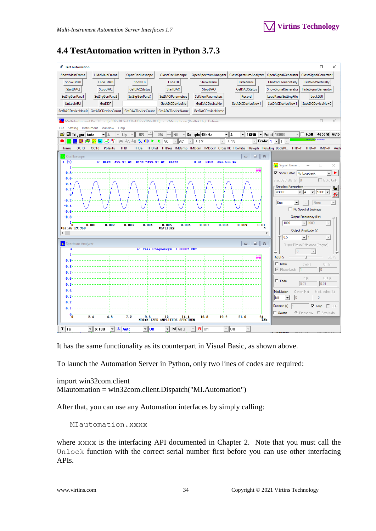

## <span id="page-33-0"></span>**4.4 TestAutomation written in Python 3.7.3**

It has the same functionality as its counterpart in Visual Basic, as shown above.

To launch the Automation Server in Python, only two lines of codes are required:

```
import win32com.client
MIautomation = win32com.client.Dispatch("MI.Automation")
```
After that, you can use any Automation interfaces by simply calling:

```
MIautomation.xxxx
```
where xxxx is the interfacing API documented in Chapter 2. Note that you must call the Unlock function with the correct serial number first before you can use other interfacing APIs.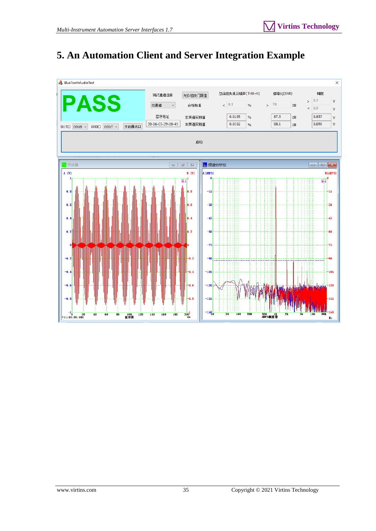## <span id="page-34-0"></span>**5. An Automation Client and Server Integration Example**